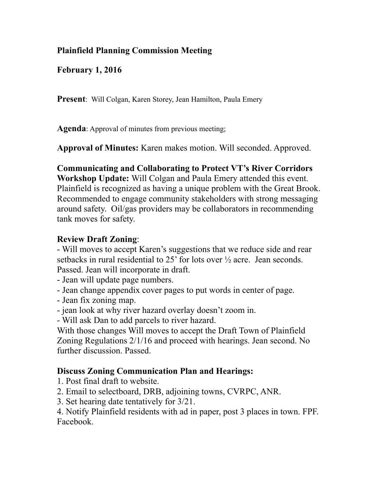# **Plainfield Planning Commission Meeting**

**February 1, 2016** 

**Present**: Will Colgan, Karen Storey, Jean Hamilton, Paula Emery

**Agenda**: Approval of minutes from previous meeting;

**Approval of Minutes:** Karen makes motion. Will seconded. Approved.

# **Communicating and Collaborating to Protect VT's River Corridors**

**Workshop Update:** Will Colgan and Paula Emery attended this event. Plainfield is recognized as having a unique problem with the Great Brook. Recommended to engage community stakeholders with strong messaging around safety. Oil/gas providers may be collaborators in recommending tank moves for safety.

## **Review Draft Zoning**:

- Will moves to accept Karen's suggestions that we reduce side and rear setbacks in rural residential to 25' for lots over ½ acre. Jean seconds. Passed. Jean will incorporate in draft.

- Jean will update page numbers.

- Jean change appendix cover pages to put words in center of page.

- Jean fix zoning map.

- jean look at why river hazard overlay doesn't zoom in.

- Will ask Dan to add parcels to river hazard.

With those changes Will moves to accept the Draft Town of Plainfield Zoning Regulations 2/1/16 and proceed with hearings. Jean second. No further discussion. Passed.

# **Discuss Zoning Communication Plan and Hearings:**

1. Post final draft to website.

2. Email to selectboard, DRB, adjoining towns, CVRPC, ANR.

3. Set hearing date tentatively for 3/21.

4. Notify Plainfield residents with ad in paper, post 3 places in town. FPF. Facebook.